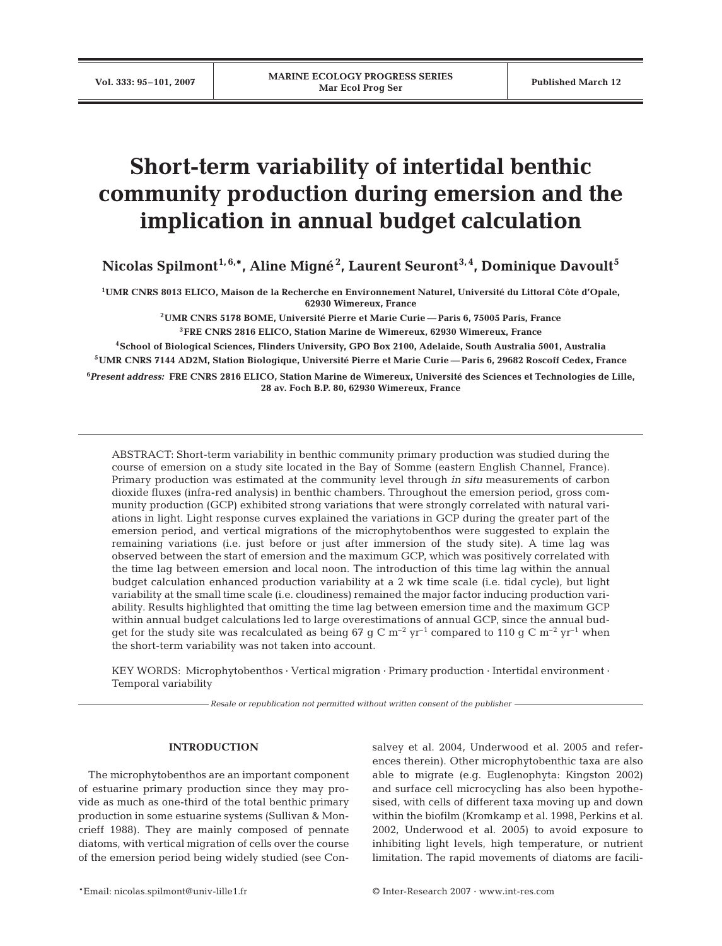# **Short-term variability of intertidal benthic community production during emersion and the implication in annual budget calculation**

**Nicolas Spilmont1, 6,\*, Aline Migné2 , Laurent Seuront3, 4, Dominique Davoult5**

**1UMR CNRS 8013 ELICO, Maison de la Recherche en Environnement Naturel, Université du Littoral Côte d'Opale, 62930 Wimereux, France**

> **2UMR CNRS 5178 BOME, Université Pierre et Marie Curie — Paris 6, 75005 Paris, France 3FRE CNRS 2816 ELICO, Station Marine de Wimereux, 62930 Wimereux, France**

**4School of Biological Sciences, Flinders University, GPO Box 2100, Adelaide, South Australia 5001, Australia 5UMR CNRS 7144 AD2M, Station Biologique, Université Pierre et Marie Curie — Paris 6, 29682 Roscoff Cedex, France**

**6** *Present address:* **FRE CNRS 2816 ELICO, Station Marine de Wimereux, Université des Sciences et Technologies de Lille, 28 av. Foch B.P. 80, 62930 Wimereux, France**

ABSTRACT: Short-term variability in benthic community primary production was studied during the course of emersion on a study site located in the Bay of Somme (eastern English Channel, France). Primary production was estimated at the community level through *in situ* measurements of carbon dioxide fluxes (infra-red analysis) in benthic chambers. Throughout the emersion period, gross community production (GCP) exhibited strong variations that were strongly correlated with natural variations in light. Light response curves explained the variations in GCP during the greater part of the emersion period, and vertical migrations of the microphytobenthos were suggested to explain the remaining variations (i.e. just before or just after immersion of the study site). A time lag was observed between the start of emersion and the maximum GCP, which was positively correlated with the time lag between emersion and local noon. The introduction of this time lag within the annual budget calculation enhanced production variability at a 2 wk time scale (i.e. tidal cycle), but light variability at the small time scale (i.e. cloudiness) remained the major factor inducing production variability. Results highlighted that omitting the time lag between emersion time and the maximum GCP within annual budget calculations led to large overestimations of annual GCP, since the annual budget for the study site was recalculated as being 67 g C  $\rm m^{-2}$  yr<sup>-1</sup> compared to 110 g C  $\rm m^{-2}$  yr<sup>-1</sup> when the short-term variability was not taken into account.

KEY WORDS: Microphytobenthos · Vertical migration · Primary production · Intertidal environment · Temporal variability

*Resale or republication not permitted without written consent of the publisher*

## **INTRODUCTION**

The microphytobenthos are an important component of estuarine primary production since they may provide as much as one-third of the total benthic primary production in some estuarine systems (Sullivan & Moncrieff 1988). They are mainly composed of pennate diatoms, with vertical migration of cells over the course of the emersion period being widely studied (see Consalvey et al. 2004, Underwood et al. 2005 and references therein). Other microphytobenthic taxa are also able to migrate (e.g. Euglenophyta: Kingston 2002) and surface cell microcycling has also been hypothesised, with cells of different taxa moving up and down within the biofilm (Kromkamp et al. 1998, Perkins et al. 2002, Underwood et al. 2005) to avoid exposure to inhibiting light levels, high temperature, or nutrient limitation. The rapid movements of diatoms are facili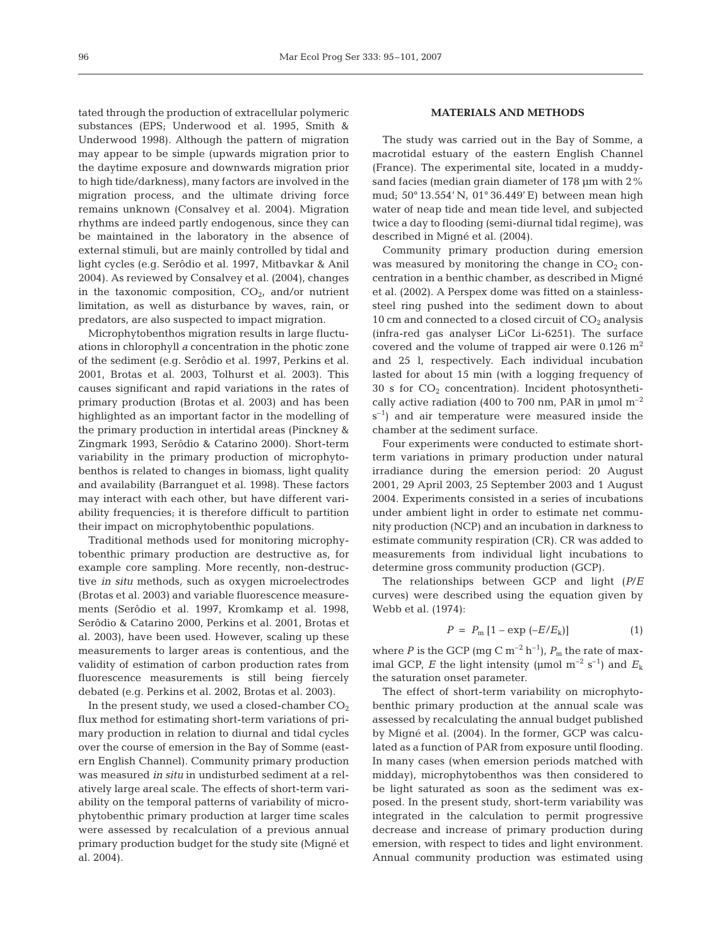tated through the production of extracellular polymeric substances (EPS; Underwood et al. 1995, Smith & Underwood 1998). Although the pattern of migration may appear to be simple (upwards migration prior to the daytime exposure and downwards migration prior to high tide/darkness), many factors are involved in the migration process, and the ultimate driving force remains unknown (Consalvey et al. 2004). Migration rhythms are indeed partly endogenous, since they can be maintained in the laboratory in the absence of external stimuli, but are mainly controlled by tidal and light cycles (e.g. Serôdio et al. 1997, Mitbavkar & Anil 2004). As reviewed by Consalvey et al. (2004), changes in the taxonomic composition,  $CO<sub>2</sub>$ , and/or nutrient limitation, as well as disturbance by waves, rain, or predators, are also suspected to impact migration.

Microphytobenthos migration results in large fluctuations in chlorophyll *a* concentration in the photic zone of the sediment (e.g. Serôdio et al. 1997, Perkins et al. 2001, Brotas et al. 2003, Tolhurst et al. 2003). This causes significant and rapid variations in the rates of primary production (Brotas et al. 2003) and has been highlighted as an important factor in the modelling of the primary production in intertidal areas (Pinckney & Zingmark 1993, Serôdio & Catarino 2000). Short-term variability in the primary production of microphytobenthos is related to changes in biomass, light quality and availability (Barranguet et al. 1998). These factors may interact with each other, but have different variability frequencies; it is therefore difficult to partition their impact on microphytobenthic populations.

Traditional methods used for monitoring microphytobenthic primary production are destructive as, for example core sampling. More recently, non-destructive *in situ* methods, such as oxygen microelectrodes (Brotas et al. 2003) and variable fluorescence measurements (Serôdio et al. 1997, Kromkamp et al. 1998, Serôdio & Catarino 2000, Perkins et al. 2001, Brotas et al. 2003), have been used. However, scaling up these measurements to larger areas is contentious, and the validity of estimation of carbon production rates from fluorescence measurements is still being fiercely debated (e.g. Perkins et al. 2002, Brotas et al. 2003).

In the present study, we used a closed-chamber  $CO<sub>2</sub>$ flux method for estimating short-term variations of primary production in relation to diurnal and tidal cycles over the course of emersion in the Bay of Somme (eastern English Channel). Community primary production was measured *in situ* in undisturbed sediment at a relatively large areal scale. The effects of short-term variability on the temporal patterns of variability of microphytobenthic primary production at larger time scales were assessed by recalculation of a previous annual primary production budget for the study site (Migné et al. 2004).

## **MATERIALS AND METHODS**

The study was carried out in the Bay of Somme, a macrotidal estuary of the eastern English Channel (France). The experimental site, located in a muddysand facies (median grain diameter of 178 µm with 2% mud; 50° 13.554' N, 01° 36.449' E) between mean high water of neap tide and mean tide level, and subjected twice a day to flooding (semi-diurnal tidal regime), was described in Migné et al. (2004).

Community primary production during emersion was measured by monitoring the change in  $CO<sub>2</sub>$  concentration in a benthic chamber, as described in Migné et al. (2002). A Perspex dome was fitted on a stainlesssteel ring pushed into the sediment down to about 10 cm and connected to a closed circuit of  $CO<sub>2</sub>$  analysis (infra-red gas analyser LiCor Li-6251). The surface covered and the volume of trapped air were  $0.126$  m<sup>2</sup> and 25 l, respectively. Each individual incubation lasted for about 15 min (with a logging frequency of 30 s for  $CO<sub>2</sub>$  concentration). Incident photosynthetically active radiation (400 to 700 nm, PAR in  $\mu$ mol m<sup>-2</sup>  $s^{-1}$ ) and air temperature were measured inside the chamber at the sediment surface.

Four experiments were conducted to estimate shortterm variations in primary production under natural irradiance during the emersion period: 20 August 2001, 29 April 2003, 25 September 2003 and 1 August 2004. Experiments consisted in a series of incubations under ambient light in order to estimate net community production (NCP) and an incubation in darkness to estimate community respiration (CR). CR was added to measurements from individual light incubations to determine gross community production (GCP).

The relationships between GCP and light (*P*/*E* curves) were described using the equation given by Webb et al. (1974):

$$
P = P_{\rm m} [1 - \exp(-E/E_{\rm k})]
$$
 (1)

where *P* is the GCP (mg C  $m^{-2}$  h<sup>-1</sup>),  $P_m$  the rate of maximal GCP, *E* the light intensity (µmol  $m^{-2}$  s<sup>-1</sup>) and  $E_k$ the saturation onset parameter.

The effect of short-term variability on microphytobenthic primary production at the annual scale was assessed by recalculating the annual budget published by Migné et al. (2004). In the former, GCP was calculated as a function of PAR from exposure until flooding. In many cases (when emersion periods matched with midday), microphytobenthos was then considered to be light saturated as soon as the sediment was exposed. In the present study, short-term variability was integrated in the calculation to permit progressive decrease and increase of primary production during emersion, with respect to tides and light environment. Annual community production was estimated using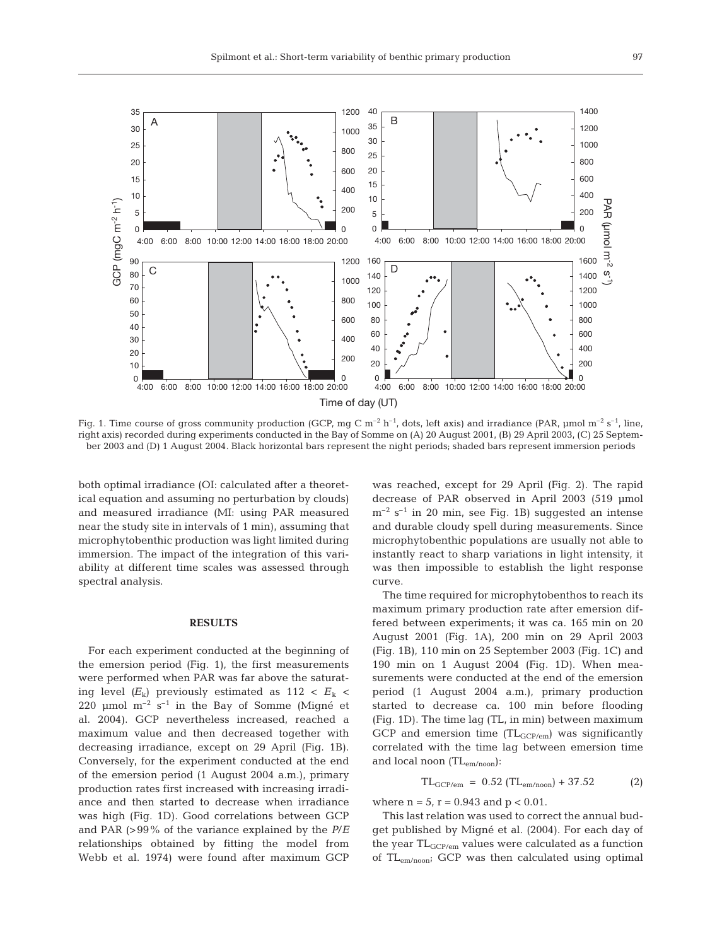

Fig. 1. Time course of gross community production (GCP, mg C  $m^{-2}$  h<sup>-1</sup>, dots, left axis) and irradiance (PAR, µmol  $m^{-2}$  s<sup>-1</sup>, line, right axis) recorded during experiments conducted in the Bay of Somme on (A) 20 August 2001, (B) 29 April 2003, (C) 25 September 2003 and (D) 1 August 2004. Black horizontal bars represent the night periods; shaded bars represent immersion periods

both optimal irradiance (OI: calculated after a theoretical equation and assuming no perturbation by clouds) and measured irradiance (MI: using PAR measured near the study site in intervals of 1 min), assuming that microphytobenthic production was light limited during immersion. The impact of the integration of this variability at different time scales was assessed through spectral analysis.

#### **RESULTS**

For each experiment conducted at the beginning of the emersion period (Fig. 1), the first measurements were performed when PAR was far above the saturating level  $(E_k)$  previously estimated as 112 <  $E_k$  < 220 µmol  $m^{-2}$  s<sup>-1</sup> in the Bay of Somme (Migné et al. 2004). GCP nevertheless increased, reached a maximum value and then decreased together with decreasing irradiance, except on 29 April (Fig. 1B). Conversely, for the experiment conducted at the end of the emersion period (1 August 2004 a.m.), primary production rates first increased with increasing irradiance and then started to decrease when irradiance was high (Fig. 1D). Good correlations between GCP and PAR (>99% of the variance explained by the *P*/*E* relationships obtained by fitting the model from Webb et al. 1974) were found after maximum GCP

was reached, except for 29 April (Fig. 2). The rapid decrease of PAR observed in April 2003 (519 µmol  $m^{-2}$  s<sup>-1</sup> in 20 min, see Fig. 1B) suggested an intense and durable cloudy spell during measurements. Since microphytobenthic populations are usually not able to instantly react to sharp variations in light intensity, it was then impossible to establish the light response curve.

The time required for microphytobenthos to reach its maximum primary production rate after emersion differed between experiments; it was ca. 165 min on 20 August 2001 (Fig. 1A), 200 min on 29 April 2003 (Fig. 1B), 110 min on 25 September 2003 (Fig. 1C) and 190 min on 1 August 2004 (Fig. 1D). When measurements were conducted at the end of the emersion period (1 August 2004 a.m.), primary production started to decrease ca. 100 min before flooding (Fig. 1D). The time lag (TL, in min) between maximum GCP and emersion time  $(TL_{GCP/em})$  was significantly correlated with the time lag between emersion time and local noon (TLem/noon):

$$
TL_{GCP/cm} = 0.52 (TL_{em/noon}) + 37.52
$$
 (2)

where  $n = 5$ ,  $r = 0.943$  and  $p < 0.01$ .

This last relation was used to correct the annual budget published by Migné et al. (2004). For each day of the year TL<sub>GCP/em</sub> values were calculated as a function of TLem/noon; GCP was then calculated using optimal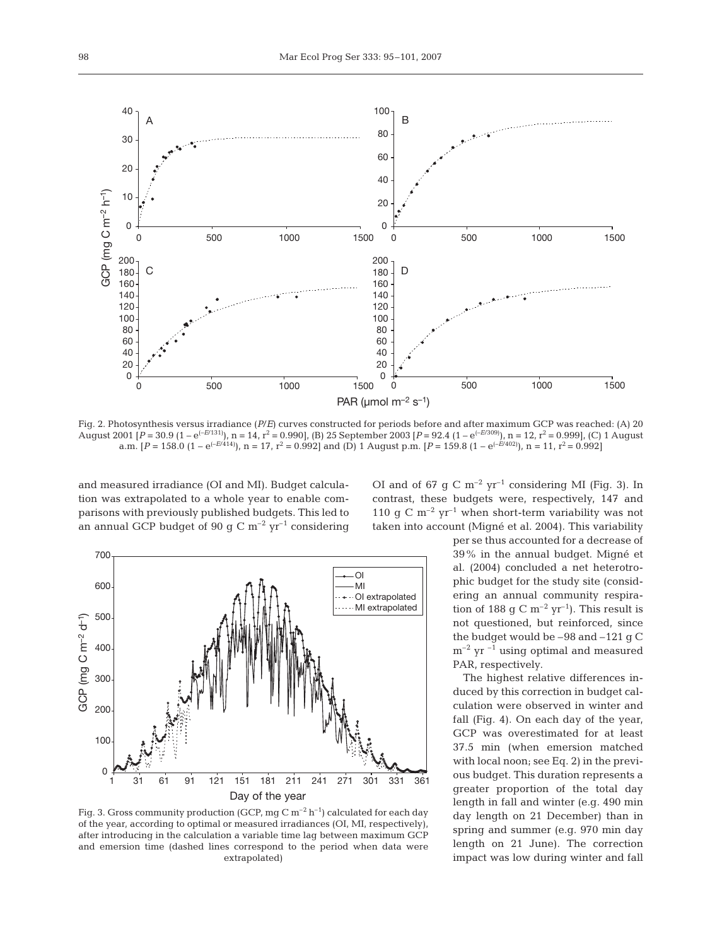

Fig. 2. Photosynthesis versus irradiance (*P*/*E*) curves constructed for periods before and after maximum GCP was reached: (A) 20 August 2001 [*P* = 30.9 (1 – e(–*E*/131)), n = 14, r2 = 0.990], (B) 25 September 2003 [*P* = 92.4 (1 – e(–*E*/309)), n = 12, r2 = 0.999], (C) 1 August a.m.  $[P = 158.0 \ (1 - e^{(-E/414)})$ ,  $n = 17$ ,  $r^2 = 0.992$  and (D) 1 August p.m.  $[P = 159.8 \ (1 - e^{(-E/402)})$ ,  $n = 11$ ,  $r^2 = 0.992$ 

and measured irradiance (OI and MI). Budget calculation was extrapolated to a whole year to enable comparisons with previously published budgets. This led to an annual GCP budget of 90 g C  $\rm m^{-2}$  yr<sup>-1</sup> considering



Fig. 3. Gross community production (GCP, mg C  $m^{-2}$  h<sup>-1</sup>) calculated for each day of the year, according to optimal or measured irradiances (OI, MI, respectively), after introducing in the calculation a variable time lag between maximum GCP and emersion time (dashed lines correspond to the period when data were extrapolated)

OI and of 67 g C  $m^{-2}$  yr<sup>-1</sup> considering MI (Fig. 3). In contrast, these budgets were, respectively, 147 and 110 g C  $m^{-2}$  yr<sup>-1</sup> when short-term variability was not taken into account (Migné et al. 2004). This variability

> per se thus accounted for a decrease of 39% in the annual budget. Migné et al. (2004) concluded a net heterotrophic budget for the study site (considering an annual community respiration of 188 g C  $m^{-2}$  yr<sup>-1</sup>). This result is not questioned, but reinforced, since the budget would be –98 and –121 g C  $m^{-2}$  yr  $^{-1}$  using optimal and measured PAR, respectively.

> The highest relative differences induced by this correction in budget calculation were observed in winter and fall (Fig. 4). On each day of the year, GCP was overestimated for at least 37.5 min (when emersion matched with local noon; see Eq. 2) in the previous budget. This duration represents a greater proportion of the total day length in fall and winter (e.g. 490 min day length on 21 December) than in spring and summer (e.g. 970 min day length on 21 June). The correction impact was low during winter and fall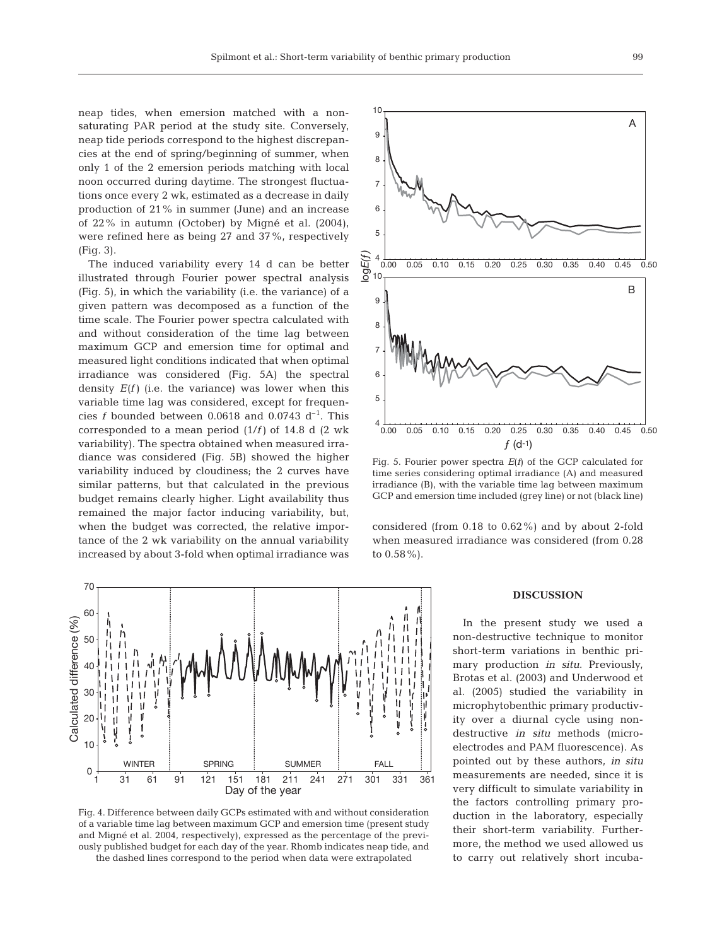neap tides, when emersion matched with a nonsaturating PAR period at the study site. Conversely, neap tide periods correspond to the highest discrepancies at the end of spring/beginning of summer, when only 1 of the 2 emersion periods matching with local noon occurred during daytime. The strongest fluctuations once every 2 wk, estimated as a decrease in daily production of 21% in summer (June) and an increase of 22% in autumn (October) by Migné et al. (2004), were refined here as being 27 and 37%, respectively (Fig. 3).

The induced variability every 14 d can be better illustrated through Fourier power spectral analysis (Fig. 5), in which the variability (i.e. the variance) of a given pattern was decomposed as a function of the time scale. The Fourier power spectra calculated with and without consideration of the time lag between maximum GCP and emersion time for optimal and measured light conditions indicated that when optimal irradiance was considered (Fig. 5A) the spectral density  $E(f)$  (i.e. the variance) was lower when this variable time lag was considered, except for frequencies *f* bounded between 0.0618 and 0.0743  $d^{-1}$ . This corresponded to a mean period (1/*f)* of 14.8 d (2 wk variability). The spectra obtained when measured irradiance was considered (Fig. 5B) showed the higher variability induced by cloudiness; the 2 curves have similar patterns, but that calculated in the previous budget remains clearly higher. Light availability thus remained the major factor inducing variability, but, when the budget was corrected, the relative importance of the 2 wk variability on the annual variability increased by about 3-fold when optimal irradiance was



Fig. 4. Difference between daily GCPs estimated with and without consideration of a variable time lag between maximum GCP and emersion time (present study and Migné et al. 2004, respectively), expressed as the percentage of the previously published budget for each day of the year. Rhomb indicates neap tide, and the dashed lines correspond to the period when data were extrapolated



Fig. 5. Fourier power spectra *E*(*f*) of the GCP calculated for time series considering optimal irradiance (A) and measured irradiance (B), with the variable time lag between maximum GCP and emersion time included (grey line) or not (black line)

considered (from 0.18 to 0.62%) and by about 2-fold when measured irradiance was considered (from 0.28 to 0.58%).

### **DISCUSSION**

In the present study we used a non-destructive technique to monitor short-term variations in benthic primary production *in situ*. Previously, Brotas et al. (2003) and Underwood et al. (2005) studied the variability in microphytobenthic primary productivity over a diurnal cycle using nondestructive *in situ* methods (microelectrodes and PAM fluorescence). As pointed out by these authors, *in situ* measurements are needed, since it is very difficult to simulate variability in the factors controlling primary production in the laboratory, especially their short-term variability. Furthermore, the method we used allowed us to carry out relatively short incuba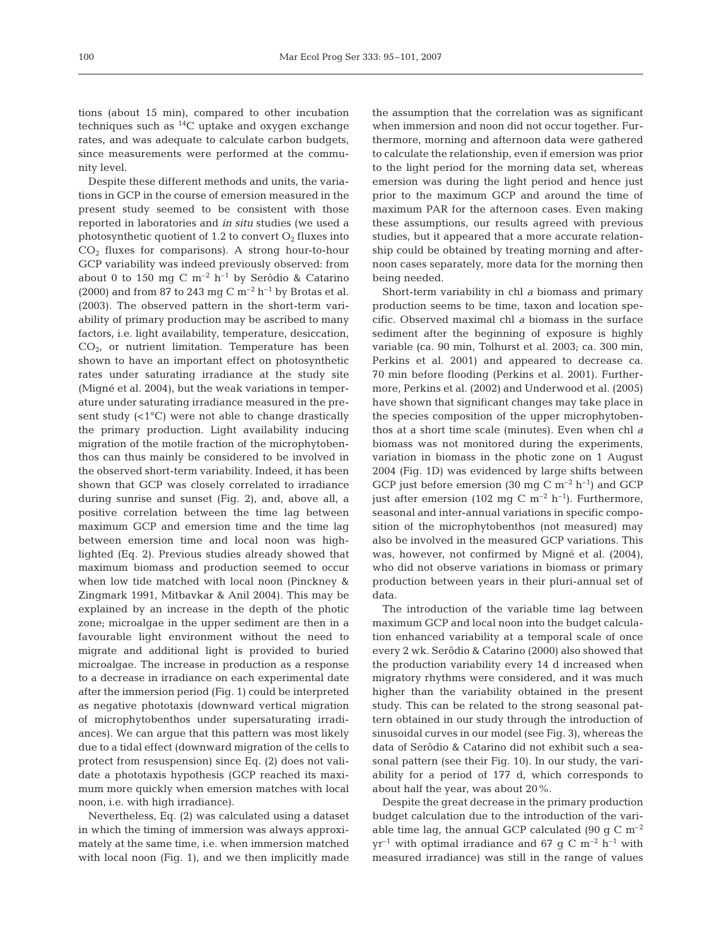tions (about 15 min), compared to other incubation techniques such as  $^{14}$ C uptake and oxygen exchange rates, and was adequate to calculate carbon budgets, since measurements were performed at the community level.

Despite these different methods and units, the variations in GCP in the course of emersion measured in the present study seemed to be consistent with those reported in laboratories and *in situ* studies (we used a photosynthetic quotient of 1.2 to convert  $O_2$  fluxes into  $CO<sub>2</sub>$  fluxes for comparisons). A strong hour-to-hour GCP variability was indeed previously observed: from about 0 to 150 mg C  $m^{-2}$  h<sup>-1</sup> by Serôdio & Catarino (2000) and from 87 to 243 mg C  $\mathrm{m}^{-2}$  h<sup>-1</sup> by Brotas et al. (2003). The observed pattern in the short-term variability of primary production may be ascribed to many factors, i.e. light availability, temperature, desiccation,  $CO<sub>2</sub>$ , or nutrient limitation. Temperature has been shown to have an important effect on photosynthetic rates under saturating irradiance at the study site (Migné et al. 2004), but the weak variations in temperature under saturating irradiance measured in the present study  $($ <1 $^{\circ}$ C $)$  were not able to change drastically the primary production. Light availability inducing migration of the motile fraction of the microphytobenthos can thus mainly be considered to be involved in the observed short-term variability. Indeed, it has been shown that GCP was closely correlated to irradiance during sunrise and sunset (Fig. 2), and, above all, a positive correlation between the time lag between maximum GCP and emersion time and the time lag between emersion time and local noon was highlighted (Eq. 2). Previous studies already showed that maximum biomass and production seemed to occur when low tide matched with local noon (Pinckney & Zingmark 1991, Mitbavkar & Anil 2004). This may be explained by an increase in the depth of the photic zone; microalgae in the upper sediment are then in a favourable light environment without the need to migrate and additional light is provided to buried microalgae. The increase in production as a response to a decrease in irradiance on each experimental date after the immersion period (Fig. 1) could be interpreted as negative phototaxis (downward vertical migration of microphytobenthos under supersaturating irradiances). We can argue that this pattern was most likely due to a tidal effect (downward migration of the cells to protect from resuspension) since Eq. (2) does not validate a phototaxis hypothesis (GCP reached its maximum more quickly when emersion matches with local noon, i.e. with high irradiance).

Nevertheless, Eq. (2) was calculated using a dataset in which the timing of immersion was always approximately at the same time, i.e. when immersion matched with local noon (Fig. 1), and we then implicitly made

the assumption that the correlation was as significant when immersion and noon did not occur together. Furthermore, morning and afternoon data were gathered to calculate the relationship, even if emersion was prior to the light period for the morning data set, whereas emersion was during the light period and hence just prior to the maximum GCP and around the time of maximum PAR for the afternoon cases. Even making these assumptions, our results agreed with previous studies, but it appeared that a more accurate relationship could be obtained by treating morning and afternoon cases separately, more data for the morning then being needed.

Short-term variability in chl *a* biomass and primary production seems to be time, taxon and location specific. Observed maximal chl *a* biomass in the surface sediment after the beginning of exposure is highly variable (ca. 90 min, Tolhurst et al. 2003; ca. 300 min, Perkins et al. 2001) and appeared to decrease ca. 70 min before flooding (Perkins et al. 2001). Furthermore, Perkins et al. (2002) and Underwood et al. (2005) have shown that significant changes may take place in the species composition of the upper microphytobenthos at a short time scale (minutes). Even when chl *a* biomass was not monitored during the experiments, variation in biomass in the photic zone on 1 August 2004 (Fig. 1D) was evidenced by large shifts between GCP just before emersion (30 mg C  $m^{-2}$  h<sup>-1</sup>) and GCP just after emersion (102 mg C m<sup>-2</sup> h<sup>-1</sup>). Furthermore, seasonal and inter-annual variations in specific composition of the microphytobenthos (not measured) may also be involved in the measured GCP variations. This was, however, not confirmed by Migné et al. (2004), who did not observe variations in biomass or primary production between years in their pluri-annual set of data.

The introduction of the variable time lag between maximum GCP and local noon into the budget calculation enhanced variability at a temporal scale of once every 2 wk. Serôdio & Catarino (2000) also showed that the production variability every 14 d increased when migratory rhythms were considered, and it was much higher than the variability obtained in the present study. This can be related to the strong seasonal pattern obtained in our study through the introduction of sinusoidal curves in our model (see Fig. 3), whereas the data of Serôdio & Catarino did not exhibit such a seasonal pattern (see their Fig. 10). In our study, the variability for a period of 177 d, which corresponds to about half the year, was about 20%.

Despite the great decrease in the primary production budget calculation due to the introduction of the variable time lag, the annual GCP calculated (90 g C  $\mathrm{m}^{-2}$  $yr^{-1}$  with optimal irradiance and 67 g C m<sup>-2</sup> h<sup>-1</sup> with measured irradiance) was still in the range of values